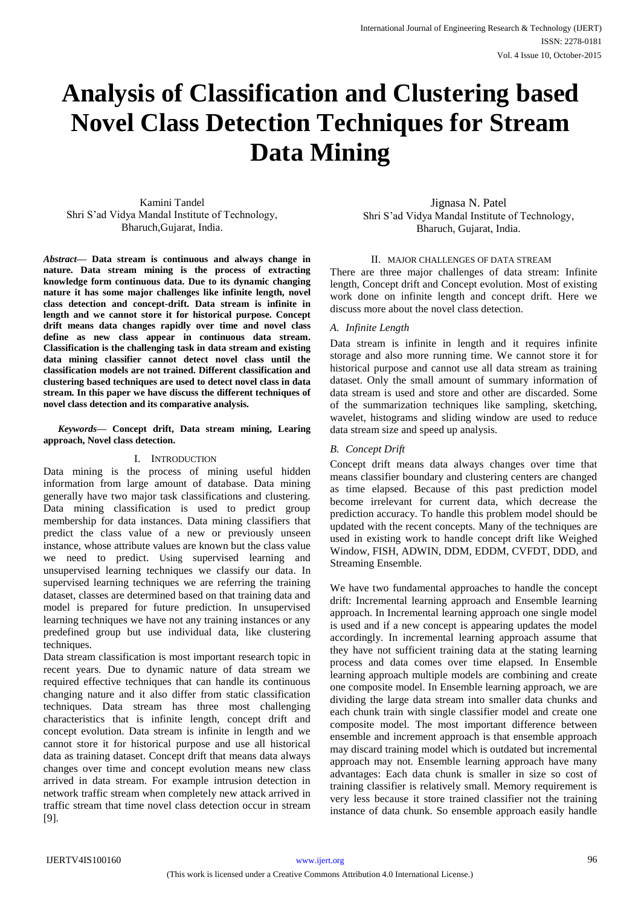# **Analysis of Classification and Clustering based Novel Class Detection Techniques for Stream Data Mining**

Kamini Tandel Shri S'ad Vidya Mandal Institute of Technology, Bharuch,Gujarat, India.

*Abstract***— Data stream is continuous and always change in nature. Data stream mining is the process of extracting knowledge form continuous data. Due to its dynamic changing nature it has some major challenges like infinite length, novel class detection and concept-drift. Data stream is infinite in length and we cannot store it for historical purpose. Concept drift means data changes rapidly over time and novel class define as new class appear in continuous data stream. Classification is the challenging task in data stream and existing data mining classifier cannot detect novel class until the classification models are not trained. Different classification and clustering based techniques are used to detect novel class in data stream. In this paper we have discuss the different techniques of novel class detection and its comparative analysis.** 

*Keywords—* **Concept drift, Data stream mining, Learing approach, Novel class detection.**

## I. INTRODUCTION

Data mining is the process of mining useful hidden information from large amount of database. Data mining generally have two major task classifications and clustering. Data mining classification is used to predict group membership for data instances. Data mining classifiers that predict the class value of a new or previously unseen instance, whose attribute values are known but the class value we need to predict. Using supervised learning and unsupervised learning techniques we classify our data. In supervised learning techniques we are referring the training dataset, classes are determined based on that training data and model is prepared for future prediction. In unsupervised learning techniques we have not any training instances or any predefined group but use individual data, like clustering techniques.

Data stream classification is most important research topic in recent years. Due to dynamic nature of data stream we required effective techniques that can handle its continuous changing nature and it also differ from static classification techniques. Data stream has three most challenging characteristics that is infinite length, concept drift and concept evolution. Data stream is infinite in length and we cannot store it for historical purpose and use all historical data as training dataset. Concept drift that means data always changes over time and concept evolution means new class arrived in data stream. For example intrusion detection in network traffic stream when completely new attack arrived in traffic stream that time novel class detection occur in stream [9].

Jignasa N. Patel Shri S'ad Vidya Mandal Institute of Technology, Bharuch, Gujarat, India.

#### II. MAJOR CHALLENGES OF DATA STREAM

There are three major challenges of data stream: Infinite length, Concept drift and Concept evolution. Most of existing work done on infinite length and concept drift. Here we discuss more about the novel class detection.

## *A. Infinite Length*

Data stream is infinite in length and it requires infinite storage and also more running time. We cannot store it for historical purpose and cannot use all data stream as training dataset. Only the small amount of summary information of data stream is used and store and other are discarded. Some of the summarization techniques like sampling, sketching, wavelet, histograms and sliding window are used to reduce data stream size and speed up analysis.

## *B. Concept Drift*

Concept drift means data always changes over time that means classifier boundary and clustering centers are changed as time elapsed. Because of this past prediction model become irrelevant for current data, which decrease the prediction accuracy. To handle this problem model should be updated with the recent concepts. Many of the techniques are used in existing work to handle concept drift like Weighed Window, FISH, ADWIN, DDM, EDDM, CVFDT, DDD, and Streaming Ensemble.

We have two fundamental approaches to handle the concept drift: Incremental learning approach and Ensemble learning approach. In Incremental learning approach one single model is used and if a new concept is appearing updates the model accordingly. In incremental learning approach assume that they have not sufficient training data at the stating learning process and data comes over time elapsed. In Ensemble learning approach multiple models are combining and create one composite model. In Ensemble learning approach, we are dividing the large data stream into smaller data chunks and each chunk train with single classifier model and create one composite model. The most important difference between ensemble and increment approach is that ensemble approach may discard training model which is outdated but incremental approach may not. Ensemble learning approach have many advantages: Each data chunk is smaller in size so cost of training classifier is relatively small. Memory requirement is very less because it store trained classifier not the training instance of data chunk. So ensemble approach easily handle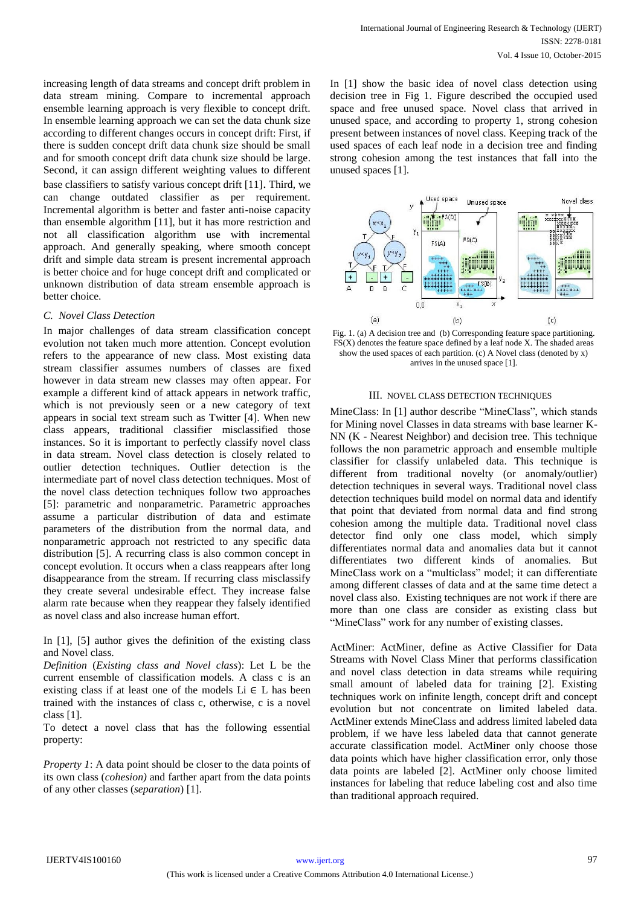increasing length of data streams and concept drift problem in data stream mining. Compare to incremental approach ensemble learning approach is very flexible to concept drift. In ensemble learning approach we can set the data chunk size according to different changes occurs in concept drift: First, if there is sudden concept drift data chunk size should be small and for smooth concept drift data chunk size should be large. Second, it can assign different weighting values to different base classifiers to satisfy various concept drift [11]. Third, we can change outdated classifier as per requirement. Incremental algorithm is better and faster anti-noise capacity than ensemble algorithm [11], but it has more restriction and not all classification algorithm use with incremental approach. And generally speaking, where smooth concept drift and simple data stream is present incremental approach is better choice and for huge concept drift and complicated or unknown distribution of data stream ensemble approach is better choice.

#### *C. Novel Class Detection*

In major challenges of data stream classification concept evolution not taken much more attention. Concept evolution refers to the appearance of new class. Most existing data stream classifier assumes numbers of classes are fixed however in data stream new classes may often appear. For example a different kind of attack appears in network traffic, which is not previously seen or a new category of text appears in social text stream such as Twitter [4]. When new class appears, traditional classifier misclassified those instances. So it is important to perfectly classify novel class in data stream. Novel class detection is closely related to outlier detection techniques. Outlier detection is the intermediate part of novel class detection techniques. Most of the novel class detection techniques follow two approaches [5]: parametric and nonparametric. Parametric approaches assume a particular distribution of data and estimate parameters of the distribution from the normal data, and nonparametric approach not restricted to any specific data distribution [5]. A recurring class is also common concept in concept evolution. It occurs when a class reappears after long disappearance from the stream. If recurring class misclassify they create several undesirable effect. They increase false alarm rate because when they reappear they falsely identified as novel class and also increase human effort.

In [1], [5] author gives the definition of the existing class and Novel class.

*Definition* (*Existing class and Novel class*): Let L be the current ensemble of classification models. A class c is an existing class if at least one of the models  $Li \in L$  has been trained with the instances of class c, otherwise, c is a novel class [1].

To detect a novel class that has the following essential property:

*Property 1*: A data point should be closer to the data points of its own class (*cohesion)* and farther apart from the data points of any other classes (*separation*) [1].

In [1] show the basic idea of novel class detection using decision tree in Fig 1. Figure described the occupied used space and free unused space. Novel class that arrived in unused space, and according to property 1, strong cohesion present between instances of novel class. Keeping track of the used spaces of each leaf node in a decision tree and finding strong cohesion among the test instances that fall into the unused spaces [1].



Fig. 1. (a) A decision tree and (b) Corresponding feature space partitioning. FS(X) denotes the feature space defined by a leaf node X. The shaded areas show the used spaces of each partition. (c) A Novel class (denoted by x) arrives in the unused space [1].

#### III. NOVEL CLASS DETECTION TECHNIQUES

MineClass: In [1] author describe "MineClass", which stands for Mining novel Classes in data streams with base learner K-NN (K - Nearest Neighbor) and decision tree. This technique follows the non parametric approach and ensemble multiple classifier for classify unlabeled data. This technique is different from traditional novelty (or anomaly/outlier) detection techniques in several ways. Traditional novel class detection techniques build model on normal data and identify that point that deviated from normal data and find strong cohesion among the multiple data. Traditional novel class detector find only one class model, which simply differentiates normal data and anomalies data but it cannot differentiates two different kinds of anomalies. But MineClass work on a "multiclass" model; it can differentiate among different classes of data and at the same time detect a novel class also. Existing techniques are not work if there are more than one class are consider as existing class but "MineClass" work for any number of existing classes.

ActMiner: ActMiner, define as Active Classifier for Data Streams with Novel Class Miner that performs classification and novel class detection in data streams while requiring small amount of labeled data for training [2]. Existing techniques work on infinite length, concept drift and concept evolution but not concentrate on limited labeled data. ActMiner extends MineClass and address limited labeled data problem, if we have less labeled data that cannot generate accurate classification model. ActMiner only choose those data points which have higher classification error, only those data points are labeled [2]. ActMiner only choose limited instances for labeling that reduce labeling cost and also time than traditional approach required.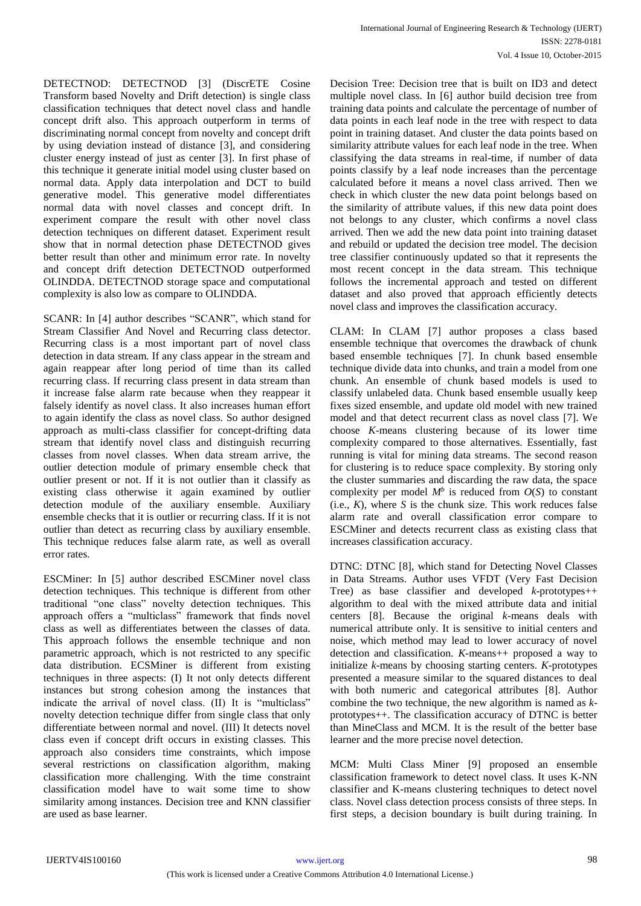DETECTNOD: DETECTNOD [3] (DiscrETE Cosine Transform based Novelty and Drift detection) is single class classification techniques that detect novel class and handle concept drift also. This approach outperform in terms of discriminating normal concept from novelty and concept drift by using deviation instead of distance [3], and considering cluster energy instead of just as center [3]. In first phase of this technique it generate initial model using cluster based on normal data. Apply data interpolation and DCT to build generative model. This generative model differentiates normal data with novel classes and concept drift. In experiment compare the result with other novel class detection techniques on different dataset. Experiment result show that in normal detection phase DETECTNOD gives better result than other and minimum error rate. In novelty and concept drift detection DETECTNOD outperformed OLINDDA. DETECTNOD storage space and computational complexity is also low as compare to OLINDDA.

SCANR: In [4] author describes "SCANR", which stand for Stream Classifier And Novel and Recurring class detector. Recurring class is a most important part of novel class detection in data stream. If any class appear in the stream and again reappear after long period of time than its called recurring class. If recurring class present in data stream than it increase false alarm rate because when they reappear it falsely identify as novel class. It also increases human effort to again identify the class as novel class. So author designed approach as multi-class classifier for concept-drifting data stream that identify novel class and distinguish recurring classes from novel classes. When data stream arrive, the outlier detection module of primary ensemble check that outlier present or not. If it is not outlier than it classify as existing class otherwise it again examined by outlier detection module of the auxiliary ensemble. Auxiliary ensemble checks that it is outlier or recurring class. If it is not outlier than detect as recurring class by auxiliary ensemble. This technique reduces false alarm rate, as well as overall error rates.

ESCMiner: In [5] author described ESCMiner novel class detection techniques. This technique is different from other traditional "one class" novelty detection techniques. This approach offers a "multiclass" framework that finds novel class as well as differentiates between the classes of data. This approach follows the ensemble technique and non parametric approach, which is not restricted to any specific data distribution. ECSMiner is different from existing techniques in three aspects: (I) It not only detects different instances but strong cohesion among the instances that indicate the arrival of novel class. (II) It is "multiclass" novelty detection technique differ from single class that only differentiate between normal and novel. (III) It detects novel class even if concept drift occurs in existing classes. This approach also considers time constraints, which impose several restrictions on classification algorithm, making classification more challenging. With the time constraint classification model have to wait some time to show similarity among instances. Decision tree and KNN classifier are used as base learner.

Decision Tree: Decision tree that is built on ID3 and detect multiple novel class. In [6] author build decision tree from training data points and calculate the percentage of number of data points in each leaf node in the tree with respect to data point in training dataset. And cluster the data points based on similarity attribute values for each leaf node in the tree. When classifying the data streams in real-time, if number of data points classify by a leaf node increases than the percentage calculated before it means a novel class arrived. Then we check in which cluster the new data point belongs based on the similarity of attribute values, if this new data point does not belongs to any cluster, which confirms a novel class arrived. Then we add the new data point into training dataset and rebuild or updated the decision tree model. The decision tree classifier continuously updated so that it represents the most recent concept in the data stream. This technique follows the incremental approach and tested on different dataset and also proved that approach efficiently detects novel class and improves the classification accuracy.

CLAM: In CLAM [7] author proposes a class based ensemble technique that overcomes the drawback of chunk based ensemble techniques [7]. In chunk based ensemble technique divide data into chunks, and train a model from one chunk. An ensemble of chunk based models is used to classify unlabeled data. Chunk based ensemble usually keep fixes sized ensemble, and update old model with new trained model and that detect recurrent class as novel class [7]. We choose *K*-means clustering because of its lower time complexity compared to those alternatives. Essentially, fast running is vital for mining data streams. The second reason for clustering is to reduce space complexity. By storing only the cluster summaries and discarding the raw data, the space complexity per model  $M^b$  is reduced from  $O(S)$  to constant (i.e.,  $K$ ), where  $S$  is the chunk size. This work reduces false alarm rate and overall classification error compare to ESCMiner and detects recurrent class as existing class that increases classification accuracy.

DTNC: DTNC [8], which stand for Detecting Novel Classes in Data Streams. Author uses VFDT (Very Fast Decision Tree) as base classifier and developed *k*-prototypes++ algorithm to deal with the mixed attribute data and initial centers [8]. Because the original *k*-means deals with numerical attribute only. It is sensitive to initial centers and noise, which method may lead to lower accuracy of novel detection and classification. *K*-means++ proposed a way to initialize *k*-means by choosing starting centers. *K*-prototypes presented a measure similar to the squared distances to deal with both numeric and categorical attributes [8]. Author combine the two technique, the new algorithm is named as *k*prototypes++. The classification accuracy of DTNC is better than MineClass and MCM. It is the result of the better base learner and the more precise novel detection.

MCM: Multi Class Miner [9] proposed an ensemble classification framework to detect novel class. It uses K-NN classifier and K-means clustering techniques to detect novel class. Novel class detection process consists of three steps. In first steps, a decision boundary is built during training. In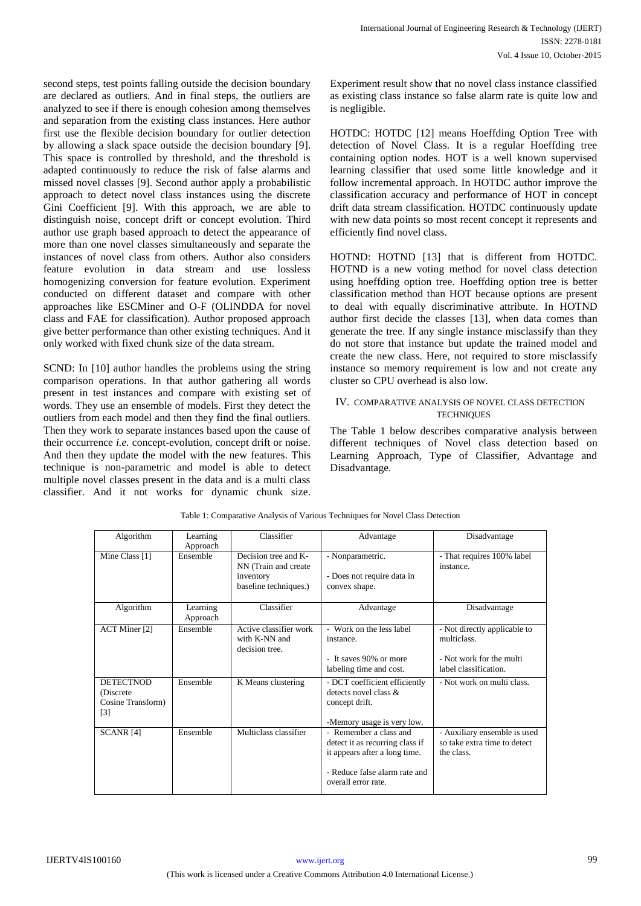second steps, test points falling outside the decision boundary are declared as outliers. And in final steps, the outliers are analyzed to see if there is enough cohesion among themselves and separation from the existing class instances. Here author first use the flexible decision boundary for outlier detection by allowing a slack space outside the decision boundary [9]. This space is controlled by threshold, and the threshold is adapted continuously to reduce the risk of false alarms and missed novel classes [9]. Second author apply a probabilistic approach to detect novel class instances using the discrete Gini Coefficient [9]. With this approach, we are able to distinguish noise, concept drift or concept evolution. Third author use graph based approach to detect the appearance of more than one novel classes simultaneously and separate the instances of novel class from others. Author also considers feature evolution in data stream and use lossless homogenizing conversion for feature evolution. Experiment conducted on different dataset and compare with other approaches like ESCMiner and O-F (OLINDDA for novel class and FAE for classification). Author proposed approach give better performance than other existing techniques. And it only worked with fixed chunk size of the data stream.

SCND: In [10] author handles the problems using the string comparison operations. In that author gathering all words present in test instances and compare with existing set of words. They use an ensemble of models. First they detect the outliers from each model and then they find the final outliers. Then they work to separate instances based upon the cause of their occurrence *i.e.* concept-evolution, concept drift or noise. And then they update the model with the new features. This technique is non-parametric and model is able to detect multiple novel classes present in the data and is a multi class classifier. And it not works for dynamic chunk size.

Experiment result show that no novel class instance classified as existing class instance so false alarm rate is quite low and is negligible.

HOTDC: HOTDC [12] means Hoeffding Option Tree with detection of Novel Class. It is a regular Hoeffding tree containing option nodes. HOT is a well known supervised learning classifier that used some little knowledge and it follow incremental approach. In HOTDC author improve the classification accuracy and performance of HOT in concept drift data stream classification. HOTDC continuously update with new data points so most recent concept it represents and efficiently find novel class.

HOTND: HOTND [13] that is different from HOTDC. HOTND is a new voting method for novel class detection using hoeffding option tree. Hoeffding option tree is better classification method than HOT because options are present to deal with equally discriminative attribute. In HOTND author first decide the classes [13], when data comes than generate the tree. If any single instance misclassify than they do not store that instance but update the trained model and create the new class. Here, not required to store misclassify instance so memory requirement is low and not create any cluster so CPU overhead is also low.

## IV. COMPARATIVE ANALYSIS OF NOVEL CLASS DETECTION **TECHNIQUES**

The Table 1 below describes comparative analysis between different techniques of Novel class detection based on Learning Approach, Type of Classifier, Advantage and Disadvantage.

| Algorithm                                                    | Learning<br>Approach | Classifier                                                                         | Advantage                                                                                                                                          | Disadvantage                                                                                     |
|--------------------------------------------------------------|----------------------|------------------------------------------------------------------------------------|----------------------------------------------------------------------------------------------------------------------------------------------------|--------------------------------------------------------------------------------------------------|
| Mine Class [1]                                               | Ensemble             | Decision tree and K-<br>NN (Train and create<br>inventory<br>baseline techniques.) | - Nonparametric.<br>- Does not require data in<br>convex shape.                                                                                    | - That requires 100% label<br>instance.                                                          |
| Algorithm                                                    | Learning<br>Approach | Classifier                                                                         | Advantage                                                                                                                                          | Disadvantage                                                                                     |
| ACT Miner [2]                                                | Ensemble             | Active classifier work<br>with K-NN and<br>decision tree.                          | - Work on the less label<br>instance.<br>- It saves 90% or more<br>labeling time and cost.                                                         | - Not directly applicable to<br>multiclass.<br>- Not work for the multi<br>label classification. |
| <b>DETECTNOD</b><br>(Discrete)<br>Cosine Transform)<br>$[3]$ | Ensemble             | K Means clustering                                                                 | - DCT coefficient efficiently<br>detects novel class $\&$<br>concept drift.<br>-Memory usage is very low.                                          | - Not work on multi class.                                                                       |
| SCANR <sub>[4]</sub>                                         | Ensemble             | Multiclass classifier                                                              | - Remember a class and<br>detect it as recurring class if<br>it appears after a long time.<br>- Reduce false alarm rate and<br>overall error rate. | - Auxiliary ensemble is used<br>so take extra time to detect<br>the class.                       |

Table 1: Comparative Analysis of Various Techniques for Novel Class Detection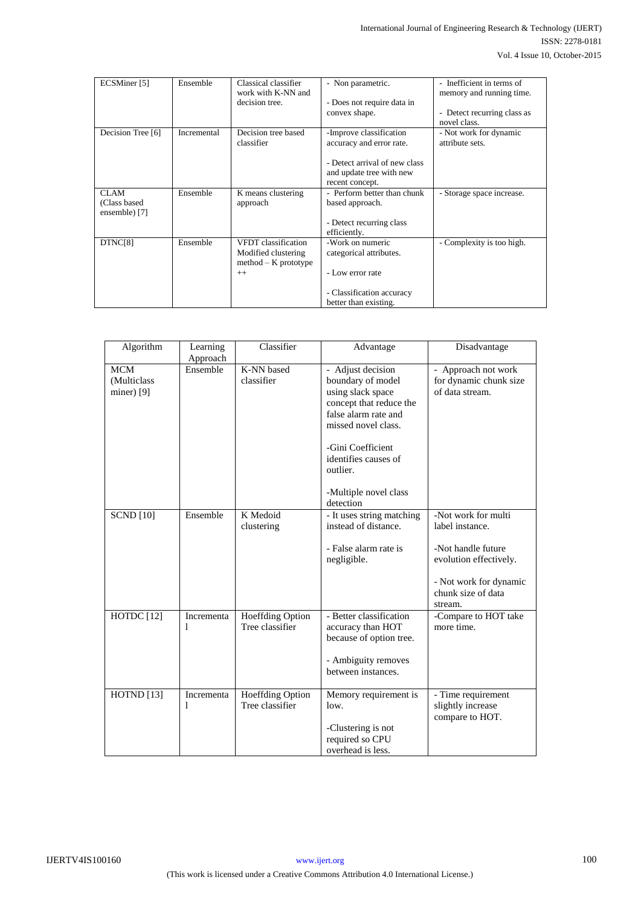| ECSMiner [5]                                  | Ensemble    | Classical classifier<br>work with K-NN and<br>decision tree.                 | - Non parametric.<br>- Does not require data in<br>convex shape.                                                                    | - Inefficient in terms of<br>memory and running time.<br>Detect recurring class as<br>٠<br>novel class. |
|-----------------------------------------------|-------------|------------------------------------------------------------------------------|-------------------------------------------------------------------------------------------------------------------------------------|---------------------------------------------------------------------------------------------------------|
| Decision Tree [6]                             | Incremental | Decision tree based<br>classifier                                            | -Improve classification<br>accuracy and error rate.<br>- Detect arrival of new class<br>and update tree with new<br>recent concept. | - Not work for dynamic<br>attribute sets.                                                               |
| <b>CLAM</b><br>(Class based)<br>ensemble) [7] | Ensemble    | K means clustering<br>approach                                               | - Perform better than chunk<br>based approach.<br>- Detect recurring class<br>efficiently.                                          | - Storage space increase.                                                                               |
| DTNC[8]                                       | Ensemble    | VFDT classification<br>Modified clustering<br>$method - K$ prototype<br>$++$ | -Work on numeric<br>categorical attributes.<br>- Low error rate<br>- Classification accuracy<br>better than existing.               | - Complexity is too high.                                                                               |

| Algorithm                                | Learning<br>Approach | Classifier                                 | Advantage                                                                                                                                                                                                                            | Disadvantage                                                                                                                                      |
|------------------------------------------|----------------------|--------------------------------------------|--------------------------------------------------------------------------------------------------------------------------------------------------------------------------------------------------------------------------------------|---------------------------------------------------------------------------------------------------------------------------------------------------|
| <b>MCM</b><br>(Multiclass<br>miner $[9]$ | Ensemble             | K-NN based<br>classifier                   | - Adjust decision<br>boundary of model<br>using slack space<br>concept that reduce the<br>false alarm rate and<br>missed novel class.<br>-Gini Coefficient<br>identifies causes of<br>outlier.<br>-Multiple novel class<br>detection | - Approach not work<br>for dynamic chunk size<br>of data stream.                                                                                  |
| <b>SCND</b> [10]                         | Ensemble             | K Medoid<br>clustering                     | - It uses string matching<br>instead of distance.<br>- False alarm rate is<br>negligible.                                                                                                                                            | -Not work for multi<br>label instance.<br>-Not handle future<br>evolution effectively.<br>- Not work for dynamic<br>chunk size of data<br>stream. |
| HOTDC [12]                               | Incrementa<br>1      | <b>Hoeffding Option</b><br>Tree classifier | - Better classification<br>accuracy than HOT<br>because of option tree.<br>- Ambiguity removes<br>between instances.                                                                                                                 | -Compare to HOT take<br>more time.                                                                                                                |
| HOTND [13]                               | Incrementa<br>1      | <b>Hoeffding Option</b><br>Tree classifier | Memory requirement is<br>low.<br>-Clustering is not<br>required so CPU<br>overhead is less.                                                                                                                                          | - Time requirement<br>slightly increase<br>compare to HOT.                                                                                        |